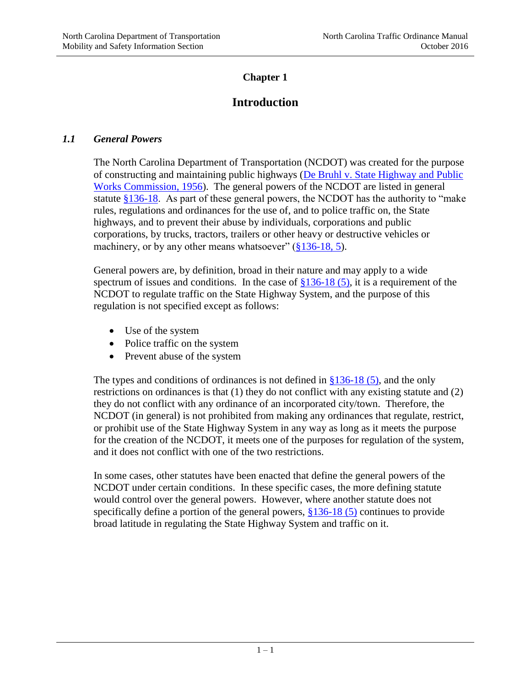## **Chapter 1**

# **Introduction**

#### *1.1 General Powers*

The North Carolina Department of Transportation (NCDOT) was created for the purpose of constructing and maintaining public highways [\(De Bruhl v. State Highway and Public](http://nc.findacase.com/research/wfrmDocViewer.aspx/xq/fac.%2FSAC%2FNC%2F1958%2F19580226_0040240.NC.htm/qx)  [Works Commission, 1956\)](http://nc.findacase.com/research/wfrmDocViewer.aspx/xq/fac.%2FSAC%2FNC%2F1958%2F19580226_0040240.NC.htm/qx). The general powers of the NCDOT are listed in general statute  $$136-18$ . As part of these general powers, the NCDOT has the authority to "make" rules, regulations and ordinances for the use of, and to police traffic on, the State highways, and to prevent their abuse by individuals, corporations and public corporations, by trucks, tractors, trailers or other heavy or destructive vehicles or machinery, or by any other means whatsoever" [\(§136-18, 5\)](http://www.ncleg.net/gascripts/statutes/statutelookup.pl?statute=136-18).

General powers are, by definition, broad in their nature and may apply to a wide spectrum of issues and conditions. In the case of  $\S 136-18$  (5), it is a requirement of the NCDOT to regulate traffic on the State Highway System, and the purpose of this regulation is not specified except as follows:

- Use of the system
- Police traffic on the system
- Prevent abuse of the system

The types and conditions of ordinances is not defined in  $§136-18$  (5), and the only restrictions on ordinances is that (1) they do not conflict with any existing statute and (2) they do not conflict with any ordinance of an incorporated city/town. Therefore, the NCDOT (in general) is not prohibited from making any ordinances that regulate, restrict, or prohibit use of the State Highway System in any way as long as it meets the purpose for the creation of the NCDOT, it meets one of the purposes for regulation of the system, and it does not conflict with one of the two restrictions.

In some cases, other statutes have been enacted that define the general powers of the NCDOT under certain conditions. In these specific cases, the more defining statute would control over the general powers. However, where another statute does not specifically define a portion of the general powers, [§136-18 \(5\)](http://www.ncleg.net/gascripts/statutes/statutelookup.pl?statute=136-18) continues to provide broad latitude in regulating the State Highway System and traffic on it.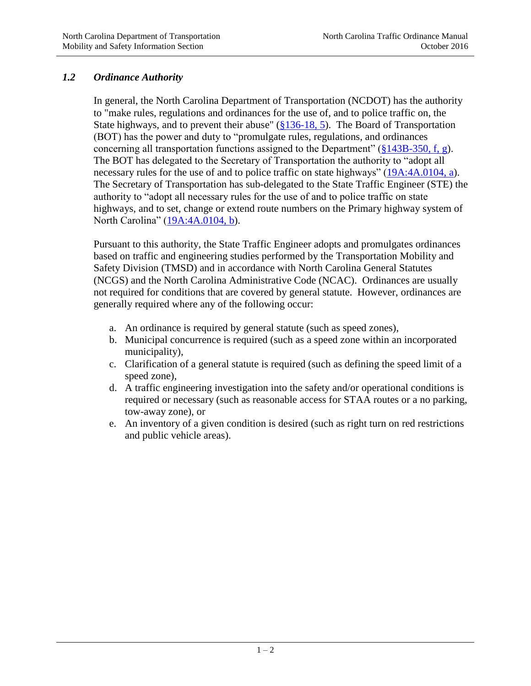## *1.2 Ordinance Authority*

In general, the North Carolina Department of Transportation (NCDOT) has the authority to "make rules, regulations and ordinances for the use of, and to police traffic on, the State highways, and to prevent their abuse" [\(§136-18, 5\)](http://www.ncleg.net/gascripts/statutes/statutelookup.pl?statute=136-18). The Board of Transportation (BOT) has the power and duty to "promulgate rules, regulations, and ordinances concerning all transportation functions assigned to the Department" ( $§143B-350$ , f, g). The BOT has delegated to the Secretary of Transportation the authority to "adopt all necessary rules for the use of and to police traffic on state highways" [\(19A:4A.0104, a\)](http://reports.oah.state.nc.us/ncac/title%2019a%20-%20transportation/chapter%2004%20-%20secretary%20of%20transportation/subchapter%20a/19a%20ncac%2004a%20.0104.html). The Secretary of Transportation has sub-delegated to the State Traffic Engineer (STE) the authority to "adopt all necessary rules for the use of and to police traffic on state highways, and to set, change or extend route numbers on the Primary highway system of North Carolina" [\(19A:4A.0104, b\)](http://reports.oah.state.nc.us/ncac/title%2019a%20-%20transportation/chapter%2004%20-%20secretary%20of%20transportation/subchapter%20a/19a%20ncac%2004a%20.0104.html).

Pursuant to this authority, the State Traffic Engineer adopts and promulgates ordinances based on traffic and engineering studies performed by the Transportation Mobility and Safety Division (TMSD) and in accordance with North Carolina General Statutes (NCGS) and the North Carolina Administrative Code (NCAC). Ordinances are usually not required for conditions that are covered by general statute. However, ordinances are generally required where any of the following occur:

- a. An ordinance is required by general statute (such as speed zones),
- b. Municipal concurrence is required (such as a speed zone within an incorporated municipality),
- c. Clarification of a general statute is required (such as defining the speed limit of a speed zone),
- d. A traffic engineering investigation into the safety and/or operational conditions is required or necessary (such as reasonable access for STAA routes or a no parking, tow-away zone), or
- e. An inventory of a given condition is desired (such as right turn on red restrictions and public vehicle areas).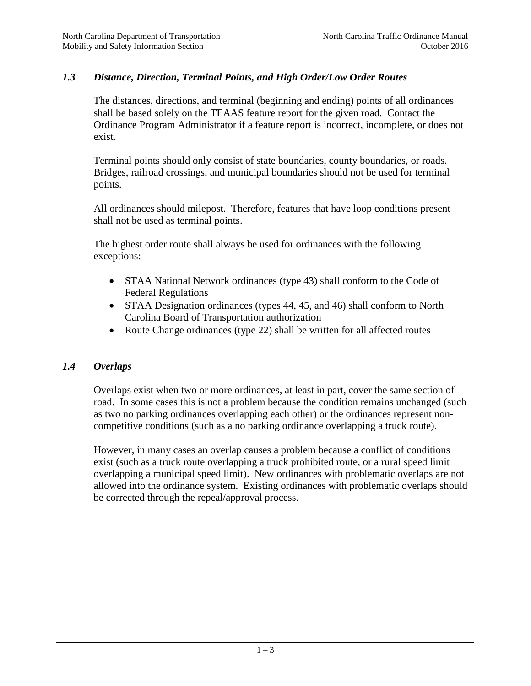#### *1.3 Distance, Direction, Terminal Points, and High Order/Low Order Routes*

The distances, directions, and terminal (beginning and ending) points of all ordinances shall be based solely on the TEAAS feature report for the given road. Contact the Ordinance Program Administrator if a feature report is incorrect, incomplete, or does not exist.

Terminal points should only consist of state boundaries, county boundaries, or roads. Bridges, railroad crossings, and municipal boundaries should not be used for terminal points.

All ordinances should milepost. Therefore, features that have loop conditions present shall not be used as terminal points.

The highest order route shall always be used for ordinances with the following exceptions:

- STAA National Network ordinances (type 43) shall conform to the Code of Federal Regulations
- STAA Designation ordinances (types 44, 45, and 46) shall conform to North Carolina Board of Transportation authorization
- Route Change ordinances (type 22) shall be written for all affected routes

#### *1.4 Overlaps*

Overlaps exist when two or more ordinances, at least in part, cover the same section of road. In some cases this is not a problem because the condition remains unchanged (such as two no parking ordinances overlapping each other) or the ordinances represent noncompetitive conditions (such as a no parking ordinance overlapping a truck route).

However, in many cases an overlap causes a problem because a conflict of conditions exist (such as a truck route overlapping a truck prohibited route, or a rural speed limit overlapping a municipal speed limit). New ordinances with problematic overlaps are not allowed into the ordinance system. Existing ordinances with problematic overlaps should be corrected through the repeal/approval process.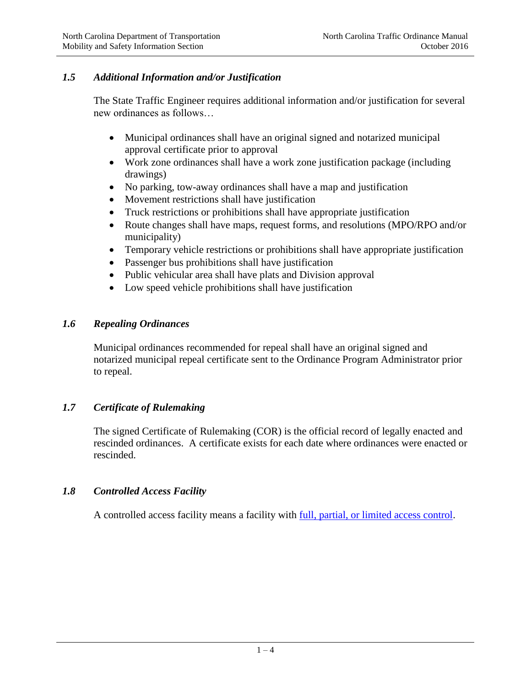## *1.5 Additional Information and/or Justification*

The State Traffic Engineer requires additional information and/or justification for several new ordinances as follows…

- Municipal ordinances shall have an original signed and notarized municipal approval certificate prior to approval
- Work zone ordinances shall have a work zone justification package (including drawings)
- No parking, tow-away ordinances shall have a map and justification
- Movement restrictions shall have justification
- Truck restrictions or prohibitions shall have appropriate justification
- Route changes shall have maps, request forms, and resolutions (MPO/RPO and/or municipality)
- Temporary vehicle restrictions or prohibitions shall have appropriate justification
- Passenger bus prohibitions shall have justification
- Public vehicular area shall have plats and Division approval
- Low speed vehicle prohibitions shall have justification

#### *1.6 Repealing Ordinances*

Municipal ordinances recommended for repeal shall have an original signed and notarized municipal repeal certificate sent to the Ordinance Program Administrator prior to repeal.

## *1.7 Certificate of Rulemaking*

The signed Certificate of Rulemaking (COR) is the official record of legally enacted and rescinded ordinances. A certificate exists for each date where ordinances were enacted or rescinded.

## *1.8 Controlled Access Facility*

A controlled access facility means a facility with [full, partial, or limited access control.](https://connect.ncdot.gov/projects/planning/TPB%20Documents/NCDOT%20Facility%20Types%20-%20Control%20of%20Access%20Definitions.pdf)